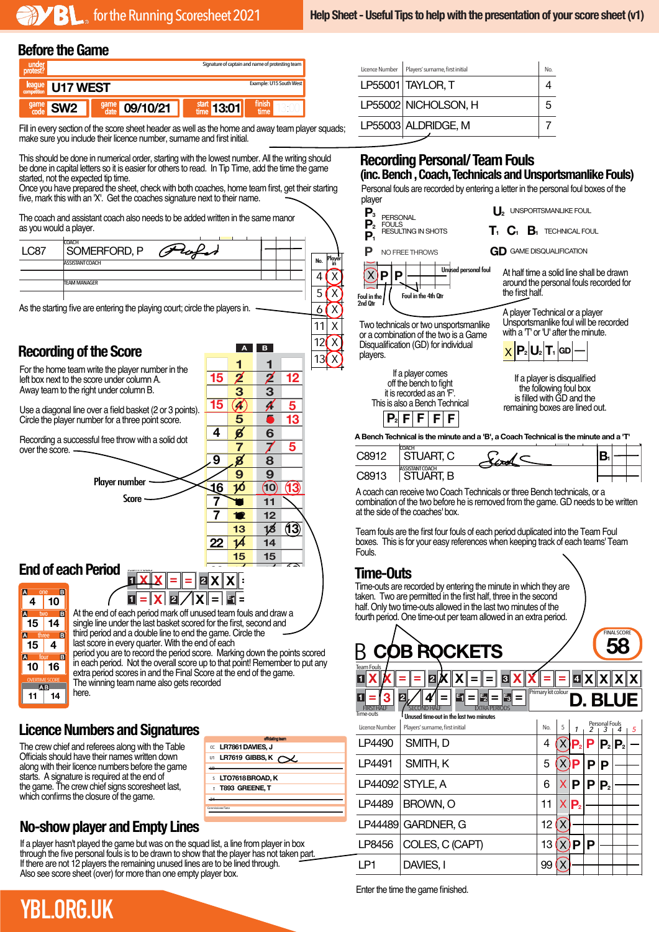#### Before the Game

LP55002 NICHOLSON, H



r, surname and first initial.<br>' Fill in every section of the score sheet header as well as the home and away team player squads;  $LP\xi$ 

5

 $\frac{1}{\sqrt{2}}$ 

make sure you include their licence number, surname and first initial.<br>This should be done in numerical order, starting with the lowest number. All the writing should **Re** This should be done in numerical order, starting with the lowest number. All the whiting should<br>be done in capital letters so it is easier for others to read. In Tip Time, add the time the game<br>started not the expected tip started, not the expected tip time. started, not the expected tip time.<br>Once you have prepared the sheet, check with both coaches, home team first, get their starting DARKBLUE<br>Station

Once you have prepared the sheet, check with both coaches, home teat<br>five, mark this with an 'X'. Get the coaches signature next to their name. heck with both coaches, home team first, get their sta<br>iches signature next to their name Unce you have prepared the sheet, check with both coaches, i<br>i.v. mode this with an IXL. Cet the accebes signature port to the

The coach and assistant coach also needs to be added written in the same manor as you would a player.

| av you moura a playon. |                                                                             |               | HF.                    |
|------------------------|-----------------------------------------------------------------------------|---------------|------------------------|
| LC87                   | <b>COACH</b><br>SOMERFORD, P<br><b>ASSISTANT COACH</b>                      | Player<br>No. | <b>NO</b>              |
|                        | <b>TEAM MANAGER</b>                                                         |               |                        |
|                        | As the starting five are entering the playing court; circle the players in. |               | Foul in the<br>2nd Qtr |

#### **Recording of the Score**

**Fictor unity of uncelocorce of the home team write the player number in the** For the nome team white the player number<br>left box next to the score under column A. Away team to the right under column B. COLES,C(CAPT)  $\overline{1}$ 

Use a diagonal line over a field basket (2 or 3 points).  $\begin{array}{|c|c|c|}\n\hline\n\text{Circle the above number for a three point score} & \text{S} & \text{S} & \text{S} \\
\hline\n\end{array}$ Circle the player number for a three point score.

Recording a successful free throw with a solid dot  $\frac{4}{5}$  $\overline{a}$   $\overline{a}'$ over the score.

> Player number  $\sqrt{9}$

> > Team Fouls

**1**

Score

## **End of each Period**



At the end of each period mark off unused team fouls and draw a **1** third period and a double line to end the game. Circle the **2 E1** Primarykit colour last score in every quarter. With the end of each<br>period you are to record the period score. Marking down the points scored **X X X = = = X = = = = = = =** last score in every quarter. With the end of each single line under the last basket scored for the first, second and **20 20 13 17 18 21**  $\frac{15}{4}$   $\frac{9}{4}$  $\frac{16}{4}$  $\frac{7}{7}$  $\frac{22}{12}$   $\frac{1}{12}$  $\frac{1}{12}$  $\frac{1}{12}$  $=$ 

in each period. Not the overall score up to that point! Remember to put any Exite period scores in and the militar coole at<br>The winning team name also gets recorded extra period scores in and the Final Score at the end of the game.<br>The winning team name also gets recorded

**28**

**41**

**42**

**COB ROCKETS** 

**22**

**22**

 $\diagup$  $\Join$  $\overline{\phantom{0}}$  $e \sim 7$ 

15

**9**

**16 7 7**

**15**

4<sup><sup>8</sup></sup> TEAMMANAGER **7**

**A B**

**12**

**5 13**

**5**

**13**

**13**

**13**

#### **Licence Numbers and Signatures**

The crew chief and referees along with the Table  $\overline{\phantom{a}}$   $\alpha$  LR7861 DAN along with their licence numbers before the game Officials should have their names written down starts. A signature is required at the end of the game. The crew chief signs scoresheet last, which confirms the closure of the game.

| <sup>∝</sup> LR7861 DAVIES. J        |
|--------------------------------------|
| <sup>U1</sup> LR7619 GIBBS, K $\sim$ |
|                                      |
|                                      |
| S LTO7618BROAD. K                    |
| T893 GREENE.T                        |
|                                      |
|                                      |
| Commissioned Tutor                   |
|                                      |
|                                      |
|                                      |

**5**

*<u>efficialit</u>* 

**2 3 4**

#### **No-show player and Empty Lines**

Also see score sheet (over) for more than one empty player box. If a player hasn't played the game but was on the squad list, a line from player in box **36 36** through the five personal fouls is to be drawn to show that the player has not taken part. **37 37** If there are not 12 players the remaining unused lines are to be lined through.<br>Also see score sheet (over) for more than one empty player box. **5**

ASSISTANTCOACH

C8912 STUART, C C8913 STUART, B

|              | Licence Number | Players' surname, first initial | No. |
|--------------|----------------|---------------------------------|-----|
|              |                | LP55001 TAYLOR, T               |     |
|              |                | LP55002 NICHOLSON, H            | 5   |
| ayer squads; |                | LP55003 ALDRIDGE, M             |     |
|              |                |                                 |     |

#### **Recording Personal/Team Fouls**  $\overline{\phantom{0}}$ **P** 4 X  $\overline{\phantom{a}}$ **1 2 3 4 2 E1 E 2 E 3** Primarykit colour **X X = X X X X X X X X = = = = =**

eir starting Personal fouls are recorded by entering a letter in the personal foul boxes of the<br>player **P**<br>Progame (inc. Bench , Coach, Technicals and Unsportsmanlike Fouls) n ersor<br>player FIRSTHALF n, soul **D. Bench** , Coach, Technicals and Unsportsmanlike Fouls)

|                                      | player<br>PERSONAL<br>P,<br>FOULS<br>RESULTING IN SHOTS<br>Р,                                                                      | UNSPORTSMANLIKE FOUL<br>$T_1$ $C_1$ $B_1$ technical foul                                                                                                                                                     |
|--------------------------------------|------------------------------------------------------------------------------------------------------------------------------------|--------------------------------------------------------------------------------------------------------------------------------------------------------------------------------------------------------------|
| Player <sup>1</sup><br>No.<br>4<br>5 | NO FREE THROWS<br>Unused personal foul<br>Р<br>Р<br>Foul in the 4th Otr<br>Foul in the<br>2nd Qtr                                  | <b>GD</b> GAME DISQUALIFICATION<br>At half time a solid line shall be drawn<br>around the personal fouls recorded for<br>the first half.                                                                     |
| 6<br>12<br>13                        | Two technicals or two unsportsmanlike<br>or a combination of the two is a Game<br>Disqualification (GD) for individual<br>players. | A player Technical or a player<br>Unsportsmanlike foul will be recorded<br>with a T' or 'U' after the minute.<br>$\mathbf{X}$ $\mathbf{P}_2$ $\mathbf{U}_2$ $\mathbf{T}_1$ $\mathbf{G}$ $\mathbf{D}$ $\cdot$ |
|                                      | If a player comes<br>off the bench to fight<br>it is recorded as an 'F'.<br>This is also a Bench Technical<br>$\mathbf{P}_{2}$     | If a player is disqualified<br>the following foul box<br>is filled with GD and the<br>remaining boxes are lined out.                                                                                         |

**A Bench Technical is the minute and a 'B', a Coach Technical is the minute and a 'T'**

| C8912 | <b>COACH</b><br>STUART, C         | -- 1550 |  |  |  |  |
|-------|-----------------------------------|---------|--|--|--|--|
| C8913 | <b>ASSISTANT COACH</b><br>UART, B |         |  |  |  |  |

A coach can receive two Coach Technicals or three Bench technicals, or a A coach can receive two Coach Technicals or three Bench technicals, or a<br>combination of the two before he is removed from the game. GD needs to be written at the side of the coaches' box.

Team fouls are the first four fouls of each period duplicated into the Team Foul boxes. This is for your easy references when keeping track of each teams' Team<br>Fouls. Fouls.

## **Time-Outs**

taken. Two are permitted in the first half, three in the second<br>half. Only two time-outs allowed in the last two minutes of the **= X X X X X X X X** Time-outs are recorded by entering the minute in which they are taken. Two are permitted in the first half, three in the second fourth period. One time-out per team allowed in an extra period.

#### B **COB ROCKETS** *1 2 3 4 5* **P<sup>2</sup> P P<sup>2</sup> P<sup>2</sup>**



99

 $\overline{\mathsf{X}}$ 

**INALSCO** 

**58**

**B2** Enter the time the game finished.

LP1 | DAVIES, I

# **YBL.ORG.UK**